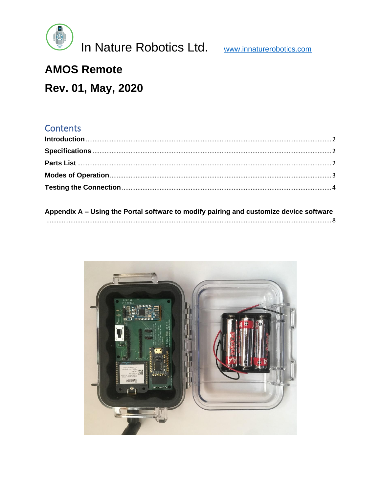

# **AMOS Remote**

# Rev. 01, May, 2020

#### Contents

| Appendix A – Using the Portal software to modify pairing and customize device software |  |
|----------------------------------------------------------------------------------------|--|
|                                                                                        |  |

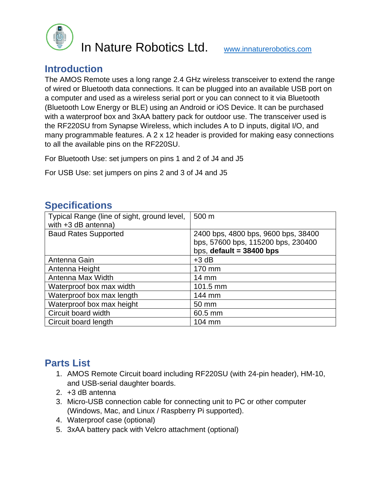

#### <span id="page-1-0"></span>**Introduction**

The AMOS Remote uses a long range 2.4 GHz wireless transceiver to extend the range of wired or Bluetooth data connections. It can be plugged into an available USB port on a computer and used as a wireless serial port or you can connect to it via Bluetooth (Bluetooth Low Energy or BLE) using an Android or iOS Device. It can be purchased with a waterproof box and 3xAA battery pack for outdoor use. The transceiver used is the RF220SU from Synapse Wireless, which includes A to D inputs, digital I/O, and many programmable features. A 2 x 12 header is provided for making easy connections to all the available pins on the RF220SU.

For Bluetooth Use: set jumpers on pins 1 and 2 of J4 and J5

For USB Use: set jumpers on pins 2 and 3 of J4 and J5

#### <span id="page-1-1"></span>**Specifications**

| Typical Range (line of sight, ground level,<br>with $+3$ dB antenna) | 500 m                                                                                                   |
|----------------------------------------------------------------------|---------------------------------------------------------------------------------------------------------|
| <b>Baud Rates Supported</b>                                          | 2400 bps, 4800 bps, 9600 bps, 38400<br>bps, 57600 bps, 115200 bps, 230400<br>bps, default = $38400$ bps |
| Antenna Gain                                                         | $+3$ dB                                                                                                 |
| Antenna Height                                                       | 170 mm                                                                                                  |
| Antenna Max Width                                                    | $14 \text{ mm}$                                                                                         |
| Waterproof box max width                                             | 101.5 mm                                                                                                |
| Waterproof box max length                                            | 144 mm                                                                                                  |
| Waterproof box max height                                            | 50 mm                                                                                                   |
| Circuit board width                                                  | 60.5 mm                                                                                                 |
| Circuit board length                                                 | 104 mm                                                                                                  |

### <span id="page-1-2"></span>**Parts List**

- 1. AMOS Remote Circuit board including RF220SU (with 24-pin header), HM-10, and USB-serial daughter boards.
- 2. +3 dB antenna
- 3. Micro-USB connection cable for connecting unit to PC or other computer (Windows, Mac, and Linux / Raspberry Pi supported).
- 4. Waterproof case (optional)
- 5. 3xAA battery pack with Velcro attachment (optional)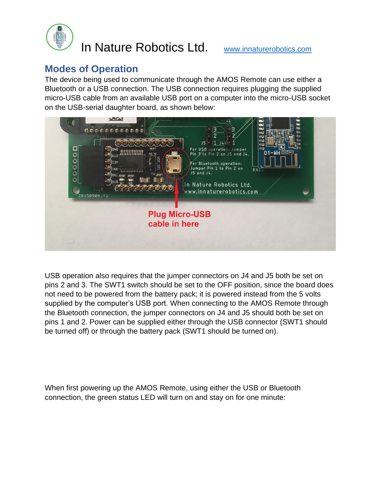

#### <span id="page-2-0"></span>**Modes of Operation**

The device being used to communicate through the AMOS Remote can use either a Bluetooth or a USB connection. The USB connection requires plugging the supplied micro-USB cable from an available USB port on a computer into the micro-USB socket on the USB-serial daughter board, as shown below:



USB operation also requires that the jumper connectors on J4 and J5 both be set on pins 2 and 3. The SWT1 switch should be set to the OFF position, since the board does not need to be powered from the battery pack; it is powered instead from the 5 volts supplied by the computer's USB port. When connecting to the AMOS Remote through the Bluetooth connection, the jumper connectors on J4 and J5 should both be set on pins 1 and 2. Power can be supplied either through the USB connector (SWT1 should be turned off) or through the battery pack (SWT1 should be turned on).

When first powering up the AMOS Remote, using either the USB or Bluetooth connection, the green status LED will turn on and stay on for one minute: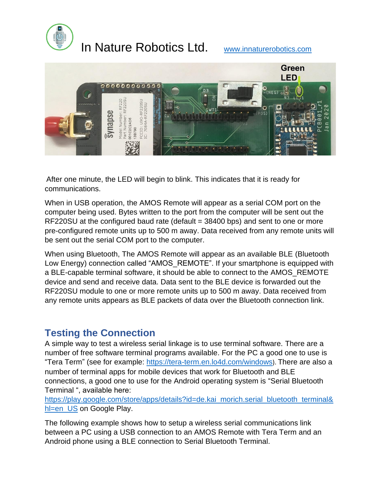



After one minute, the LED will begin to blink. This indicates that it is ready for communications.

When in USB operation, the AMOS Remote will appear as a serial COM port on the computer being used. Bytes written to the port from the computer will be sent out the RF220SU at the configured baud rate (default = 38400 bps) and sent to one or more pre-configured remote units up to 500 m away. Data received from any remote units will be sent out the serial COM port to the computer.

When using Bluetooth, The AMOS Remote will appear as an available BLE (Bluetooth Low Energy) connection called "AMOS\_REMOTE". If your smartphone is equipped with a BLE-capable terminal software, it should be able to connect to the AMOS\_REMOTE device and send and receive data. Data sent to the BLE device is forwarded out the RF220SU module to one or more remote units up to 500 m away. Data received from any remote units appears as BLE packets of data over the Bluetooth connection link.

#### <span id="page-3-0"></span>**Testing the Connection**

A simple way to test a wireless serial linkage is to use terminal software. There are a number of free software terminal programs available. For the PC a good one to use is "Tera Term" (see for example: <https://tera-term.en.lo4d.com/windows>). There are also a number of terminal apps for mobile devices that work for Bluetooth and BLE connections, a good one to use for the Android operating system is "Serial Bluetooth Terminal ", available here:

[https://play.google.com/store/apps/details?id=de.kai\\_morich.serial\\_bluetooth\\_terminal&](https://play.google.com/store/apps/details?id=de.kai_morich.serial_bluetooth_terminal&hl=en_US) [hl=en\\_US](https://play.google.com/store/apps/details?id=de.kai_morich.serial_bluetooth_terminal&hl=en_US) on Google Play.

The following example shows how to setup a wireless serial communications link between a PC using a USB connection to an AMOS Remote with Tera Term and an Android phone using a BLE connection to Serial Bluetooth Terminal.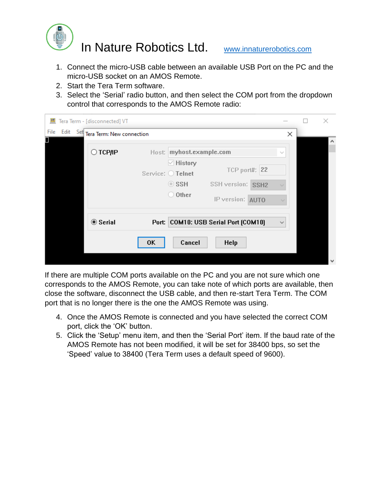

- 1. Connect the micro-USB cable between an available USB Port on the PC and the micro-USB socket on an AMOS Remote.
- 2. Start the Tera Term software.
- 3. Select the 'Serial' radio button, and then select the COM port from the dropdown control that corresponds to the AMOS Remote radio:

| <u>ут</u> |  | Tera Term - [disconnected] VT      |           |                                     |                                      |               |              | $\times$ |
|-----------|--|------------------------------------|-----------|-------------------------------------|--------------------------------------|---------------|--------------|----------|
| File      |  | Edit Set Tera Term: New connection |           |                                     |                                      |               | ×            |          |
|           |  | ⊜ тсрир                            |           | Host: myhost.example.com            |                                      |               | $\sim$       | ۸        |
|           |  |                                    |           | $\vee$ History<br>Service: O Telnet |                                      | TCP port#: 22 |              |          |
|           |  |                                    |           | $\circ$ ssh                         | SSH version: SSH2                    |               |              |          |
|           |  |                                    |           | $\bigcirc$ Other                    | IP version: AUTO                     |               | $\sim$       |          |
|           |  | <b>◎ Serial</b>                    |           |                                     | Port: COM10: USB Serial Port [COM10] |               | $\checkmark$ |          |
|           |  |                                    | <b>OK</b> | Cancel                              | Help                                 |               |              |          |
|           |  |                                    |           |                                     |                                      |               |              | M        |

If there are multiple COM ports available on the PC and you are not sure which one corresponds to the AMOS Remote, you can take note of which ports are available, then close the software, disconnect the USB cable, and then re-start Tera Term. The COM port that is no longer there is the one the AMOS Remote was using.

- 4. Once the AMOS Remote is connected and you have selected the correct COM port, click the 'OK' button.
- 5. Click the 'Setup' menu item, and then the 'Serial Port' item. If the baud rate of the AMOS Remote has not been modified, it will be set for 38400 bps, so set the 'Speed' value to 38400 (Tera Term uses a default speed of 9600).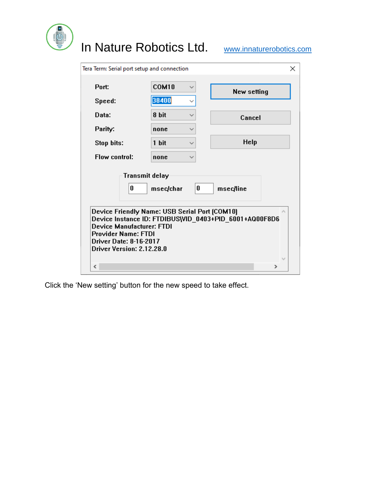| Tera Term: Serial port setup and connection                                                                     |                                                                 |                                                                     |
|-----------------------------------------------------------------------------------------------------------------|-----------------------------------------------------------------|---------------------------------------------------------------------|
| Port:                                                                                                           | COM10                                                           | New setting                                                         |
| Speed:                                                                                                          | 38400                                                           |                                                                     |
| Data:                                                                                                           | 8 bit                                                           | Cancel                                                              |
| Parity:                                                                                                         | none                                                            |                                                                     |
| Stop bits:                                                                                                      | 1 bit                                                           | Help                                                                |
| Flow control:                                                                                                   | none                                                            |                                                                     |
| <b>Transmit delay</b><br>0<br>Device Manufacturer: FTDI<br><b>Provider Name: FTDI</b><br>Driver Date: 8-16-2017 | 0<br>msec/char<br>Device Friendly Name: USB Serial Port [COM10] | msec/line<br>Device Instance ID: FTDIBUS\VID_0403+PID_6001+AQ00F8D6 |

Click the 'New setting' button for the new speed to take effect.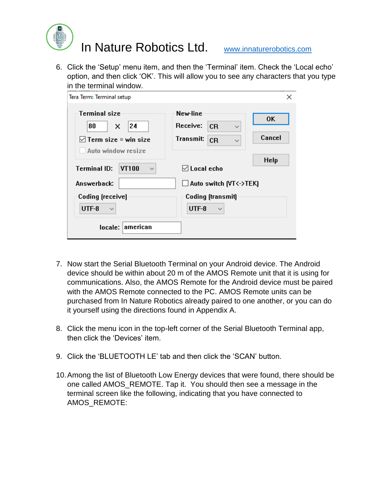

6. Click the 'Setup' menu item, and then the 'Terminal' item. Check the 'Local echo' option, and then click 'OK'. This will allow you to see any characters that you type in the terminal window.

| Tera Term: Terminal setup                                                         |                                                                                      | ×                   |
|-----------------------------------------------------------------------------------|--------------------------------------------------------------------------------------|---------------------|
| <b>Terminal size</b><br>24<br>80<br>x<br>$\boxdot$ Term size = win size           | New-line<br>Receive:<br><b>CR</b><br>$\checkmark$<br>Transmit:<br>CR<br>$\checkmark$ | <b>OK</b><br>Cancel |
| Auto window resize<br><b>Terminal ID:</b><br>VT100<br>$\checkmark$<br>Answerback: | $\triangledown$ Local echo<br>$\Box$ Auto switch (VT<->TEK)                          | <b>Help</b>         |
| Coding (receive)<br>UTF-8<br>$\checkmark$<br>locale: american                     | <b>Coding [transmit]</b><br>UTF-8<br>$\checkmark$                                    |                     |
|                                                                                   |                                                                                      |                     |

- 7. Now start the Serial Bluetooth Terminal on your Android device. The Android device should be within about 20 m of the AMOS Remote unit that it is using for communications. Also, the AMOS Remote for the Android device must be paired with the AMOS Remote connected to the PC. AMOS Remote units can be purchased from In Nature Robotics already paired to one another, or you can do it yourself using the directions found in Appendix A.
- 8. Click the menu icon in the top-left corner of the Serial Bluetooth Terminal app, then click the 'Devices' item.
- 9. Click the 'BLUETOOTH LE' tab and then click the 'SCAN' button.
- 10.Among the list of Bluetooth Low Energy devices that were found, there should be one called AMOS\_REMOTE. Tap it. You should then see a message in the terminal screen like the following, indicating that you have connected to AMOS\_REMOTE: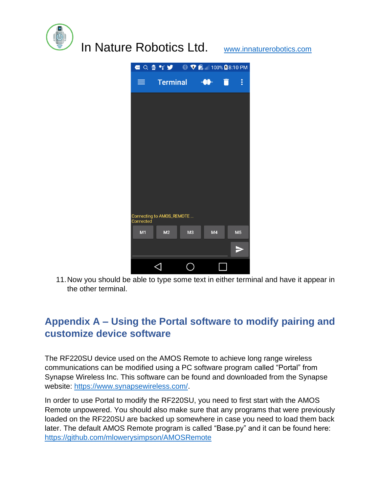



11.Now you should be able to type some text in either terminal and have it appear in the other terminal.

## <span id="page-7-0"></span>**Appendix A – Using the Portal software to modify pairing and customize device software**

The RF220SU device used on the AMOS Remote to achieve long range wireless communications can be modified using a PC software program called "Portal" from Synapse Wireless Inc. This software can be found and downloaded from the Synapse website: [https://www.synapsewireless.com/.](https://www.synapsewireless.com/)

In order to use Portal to modify the RF220SU, you need to first start with the AMOS Remote unpowered. You should also make sure that any programs that were previously loaded on the RF220SU are backed up somewhere in case you need to load them back later. The default AMOS Remote program is called "Base.py" and it can be found here: <https://github.com/mlowerysimpson/AMOSRemote>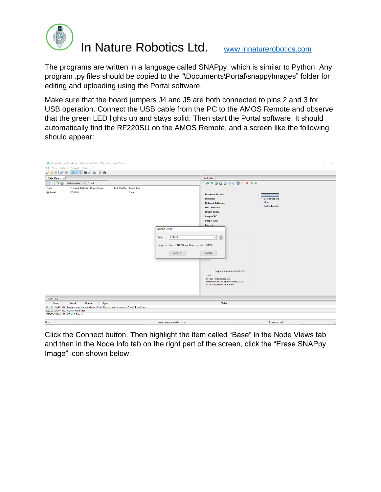

The programs are written in a language called SNAPpy, which is similar to Python. Any program .py files should be copied to the "\Documents\Portal\snappyImages" folder for editing and uploading using the Portal software.

Make sure that the board jumpers J4 and J5 are both connected to pins 2 and 3 for USB operation. Connect the USB cable from the PC to the AMOS Remote and observe that the green LED lights up and stays solid. Then start the Portal software. It should automatically find the RF220SU on the AMOS Remote, and a screen like the following should appear:

|                                  | Synapse Portal: default.swn - Workspace C:\Users\User\Documents\Portal                          |                              |                          |                                                                                                                   |                                                                                                                                                                                                                                                                                                                                                             |                                                                                            | $\Box$<br>$\mathbb{X}$<br>$\overline{\phantom{a}}$ |
|----------------------------------|-------------------------------------------------------------------------------------------------|------------------------------|--------------------------|-------------------------------------------------------------------------------------------------------------------|-------------------------------------------------------------------------------------------------------------------------------------------------------------------------------------------------------------------------------------------------------------------------------------------------------------------------------------------------------------|--------------------------------------------------------------------------------------------|----------------------------------------------------|
|                                  | File View Options Network Help                                                                  |                              |                          |                                                                                                                   |                                                                                                                                                                                                                                                                                                                                                             |                                                                                            |                                                    |
|                                  | <i>D</i> B D / Q & I B E K & O &                                                                |                              |                          |                                                                                                                   |                                                                                                                                                                                                                                                                                                                                                             |                                                                                            |                                                    |
| Node Views $\times$              |                                                                                                 |                              |                          |                                                                                                                   | Node Info                                                                                                                                                                                                                                                                                                                                                   |                                                                                            |                                                    |
| d : 50                           | Active Nodes $\sim$ 1 node                                                                      |                              |                          |                                                                                                                   | ※※多区区区※不同中×2→                                                                                                                                                                                                                                                                                                                                               |                                                                                            |                                                    |
| Node<br>Portal                   | Network Address Device Image<br>00.00.01                                                        |                              | Link Quality Device Type | Portal<br><b>Connect to Port</b><br>COM10<br>Port:<br>Progress: Found SNAP Bridge Device on Port COM10<br>Connect | <b>Firmware Version:</b><br><b>Platform:</b><br><b>Network Address:</b><br><b>MAC Address:</b><br>Device Image:<br>Image CRC:<br>Image Size:<br>License:<br>$\boldsymbol{\mathcal{Z}}$<br>$\checkmark$<br>Cancel<br>No path information collected<br>Info<br>In your Portal script, use<br>remoteNode.setColumn(name, value)<br>to display information here | $\oplus$<br>Pny Modul<br><b>User Functions</b><br><b>Hooks</b><br><b>Builtin Functions</b> |                                                    |
| <b>Event Log</b>                 |                                                                                                 |                              |                          |                                                                                                                   |                                                                                                                                                                                                                                                                                                                                                             |                                                                                            |                                                    |
| <b>Time</b>                      | Event                                                                                           | <b>Device</b><br><b>Type</b> |                          |                                                                                                                   | Value                                                                                                                                                                                                                                                                                                                                                       |                                                                                            |                                                    |
|                                  | 2020-05-25 20:41:10 Loading configuration from file: C:\Users\User\Documents\Portal\default.swn |                              |                          |                                                                                                                   |                                                                                                                                                                                                                                                                                                                                                             |                                                                                            |                                                    |
|                                  | 2020-05-25 20:41:12 COM3: Read error                                                            |                              |                          |                                                                                                                   |                                                                                                                                                                                                                                                                                                                                                             |                                                                                            |                                                    |
| 2020-05-25 20:41:12 COM10: Found |                                                                                                 |                              |                          |                                                                                                                   |                                                                                                                                                                                                                                                                                                                                                             |                                                                                            |                                                    |
| Ready                            |                                                                                                 |                              |                          | www.synapse-wireless.com                                                                                          |                                                                                                                                                                                                                                                                                                                                                             | Disconnected                                                                               |                                                    |

Click the Connect button. Then highlight the item called "Base" in the Node Views tab and then in the Node Info tab on the right part of the screen, click the "Erase SNAPpy Image" icon shown below: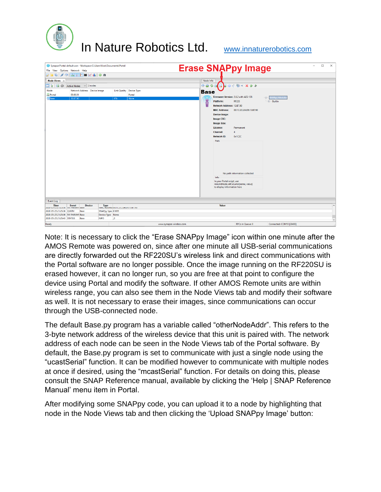| File View Options Network Help                    |                               | Synapse Portal: default.swn - Workspace C:\Users\User\Documents\Portal |              |                          |             |                                                                   | <b>Erase SNAPpy Image</b>                                          | $\Box$<br>$\times$         |
|---------------------------------------------------|-------------------------------|------------------------------------------------------------------------|--------------|--------------------------|-------------|-------------------------------------------------------------------|--------------------------------------------------------------------|----------------------------|
| <i>B</i> B B / @ & }   E M & 1   O &              |                               |                                                                        |              |                          |             |                                                                   |                                                                    |                            |
| Node Views $\times$                               |                               |                                                                        |              |                          | Node Info   |                                                                   |                                                                    |                            |
| di 50                                             | Active Nodes $\sim$ 2 nodes   |                                                                        |              |                          | RQZ         | BB                                                                | 第十四三×94                                                            |                            |
| Node                                              | Network Address Device Image  |                                                                        |              | Link Quality Device Type | <b>Base</b> |                                                                   |                                                                    |                            |
| Portal                                            | 00.00.01                      |                                                                        |              | Portal                   |             |                                                                   | Firmware Version: 2.8.2 with AES-128                               |                            |
| <b>Base</b>                                       | 13.B7.90                      |                                                                        | $\sqrt{0\%}$ | None                     | O           | Platform:                                                         | <b>RF220</b>                                                       | $\oplus$<br><b>Builtin</b> |
|                                                   |                               |                                                                        |              |                          |             | Network Address: 13.B7.90                                         |                                                                    |                            |
|                                                   |                               |                                                                        |              |                          |             | <b>MAC Address:</b>                                               | 00:1C:2C:2A:D6:13:B7:90                                            |                            |
|                                                   |                               |                                                                        |              |                          |             | <b>Device Image:</b>                                              |                                                                    |                            |
|                                                   |                               |                                                                        |              |                          |             | Image CRC:                                                        |                                                                    |                            |
|                                                   |                               |                                                                        |              |                          |             | <b>Image Size:</b>                                                |                                                                    |                            |
|                                                   |                               |                                                                        |              |                          |             | License:                                                          | Permanent                                                          |                            |
|                                                   |                               |                                                                        |              |                          |             | <b>Channel:</b>                                                   | $\boldsymbol{A}$                                                   |                            |
|                                                   |                               |                                                                        |              |                          |             | <b>Network ID:</b>                                                | 0x1C2C                                                             |                            |
|                                                   |                               |                                                                        |              |                          |             | Path                                                              |                                                                    |                            |
|                                                   |                               |                                                                        |              |                          |             | Info<br>In your Portal script, use<br>to display information here | No path information collected<br>remoteNode.setColumn(name, value) |                            |
| <b>Event Log</b>                                  |                               |                                                                        |              |                          |             |                                                                   |                                                                    |                            |
| <b>Time</b><br>2020-03-23 21:23:30 INV PAKAM Base | <b>Device</b><br><b>Event</b> | <b>Type</b><br>MAC Address OUTICIZCIZATION IS:B7:90                    |              |                          |             | <b>Value</b>                                                      |                                                                    | $\hat{\phantom{a}}$        |
| 2020-05-25 21:25:36 QUERY                         | Base                          | SNAPpy Spac 61695                                                      |              |                          |             |                                                                   |                                                                    |                            |
| 2020-05-25 21:25:36 NV PARAM Base                 |                               | Device Type None                                                       |              |                          |             |                                                                   |                                                                    |                            |
| 2020-05-25 21:25:43 STATUS                        | Base                          | <b>INFO</b>                                                            | J,O          |                          |             |                                                                   |                                                                    | $\overline{a}$             |
| Ready                                             |                               |                                                                        |              | www.synapse-wireless.com |             |                                                                   | <b>RPCs in Queue: 0</b>                                            | Connected: COM10 [38400]   |

Note: It is necessary to click the "Erase SNAPpy Image" icon within one minute after the AMOS Remote was powered on, since after one minute all USB-serial communications are directly forwarded out the RF220SU's wireless link and direct communications with the Portal software are no longer possible. Once the image running on the RF220SU is erased however, it can no longer run, so you are free at that point to configure the device using Portal and modify the software. If other AMOS Remote units are within wireless range, you can also see them in the Node Views tab and modify their software as well. It is not necessary to erase their images, since communications can occur through the USB-connected node.

The default Base.py program has a variable called "otherNodeAddr". This refers to the 3-byte network address of the wireless device that this unit is paired with. The network address of each node can be seen in the Node Views tab of the Portal software. By default, the Base.py program is set to communicate with just a single node using the "ucastSerial" function. It can be modified however to communicate with multiple nodes at once if desired, using the "mcastSerial" function. For details on doing this, please consult the SNAP Reference manual, available by clicking the 'Help | SNAP Reference Manual' menu item in Portal.

After modifying some SNAPpy code, you can upload it to a node by highlighting that node in the Node Views tab and then clicking the 'Upload SNAPpy Image' button: